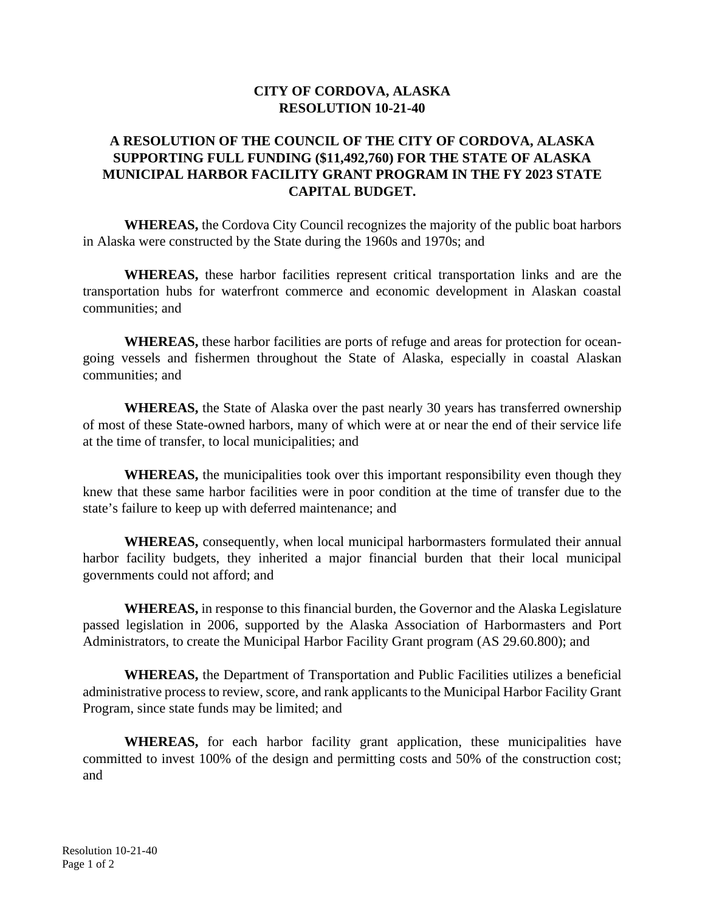## **CITY OF CORDOVA, ALASKA RESOLUTION 10-21-40**

## **A RESOLUTION OF THE COUNCIL OF THE CITY OF CORDOVA, ALASKA SUPPORTING FULL FUNDING (\$11,492,760) FOR THE STATE OF ALASKA MUNICIPAL HARBOR FACILITY GRANT PROGRAM IN THE FY 2023 STATE CAPITAL BUDGET.**

**WHEREAS,** the Cordova City Council recognizes the majority of the public boat harbors in Alaska were constructed by the State during the 1960s and 1970s; and

**WHEREAS,** these harbor facilities represent critical transportation links and are the transportation hubs for waterfront commerce and economic development in Alaskan coastal communities; and

**WHEREAS,** these harbor facilities are ports of refuge and areas for protection for oceangoing vessels and fishermen throughout the State of Alaska, especially in coastal Alaskan communities; and

**WHEREAS,** the State of Alaska over the past nearly 30 years has transferred ownership of most of these State-owned harbors, many of which were at or near the end of their service life at the time of transfer, to local municipalities; and

**WHEREAS,** the municipalities took over this important responsibility even though they knew that these same harbor facilities were in poor condition at the time of transfer due to the state's failure to keep up with deferred maintenance; and

**WHEREAS,** consequently, when local municipal harbormasters formulated their annual harbor facility budgets, they inherited a major financial burden that their local municipal governments could not afford; and

**WHEREAS,** in response to this financial burden, the Governor and the Alaska Legislature passed legislation in 2006, supported by the Alaska Association of Harbormasters and Port Administrators, to create the Municipal Harbor Facility Grant program (AS 29.60.800); and

**WHEREAS,** the Department of Transportation and Public Facilities utilizes a beneficial administrative process to review, score, and rank applicants to the Municipal Harbor Facility Grant Program, since state funds may be limited; and

**WHEREAS,** for each harbor facility grant application, these municipalities have committed to invest 100% of the design and permitting costs and 50% of the construction cost; and